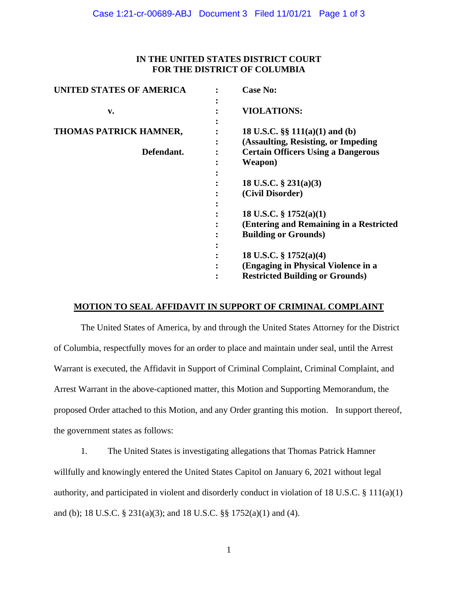### **IN THE UNITED STATES DISTRICT COURT FOR THE DISTRICT OF COLUMBIA**

| <b>UNITED STATES OF AMERICA</b> | <b>Case No:</b>                                                            |
|---------------------------------|----------------------------------------------------------------------------|
| v.                              | <b>VIOLATIONS:</b>                                                         |
| THOMAS PATRICK HAMNER,          | 18 U.S.C. $\S\S 111(a)(1)$ and (b)<br>(Assaulting, Resisting, or Impeding) |
| Defendant.                      | <b>Certain Officers Using a Dangerous</b><br>Weapon)                       |
|                                 | 18 U.S.C. $\S 231(a)(3)$<br>(Civil Disorder)                               |
|                                 |                                                                            |
|                                 | 18 U.S.C. $\S$ 1752(a)(1)<br>(Entering and Remaining in a Restricted       |
|                                 | <b>Building or Grounds</b> )                                               |
|                                 | 18 U.S.C. $\S$ 1752(a)(4)                                                  |
|                                 | (Engaging in Physical Violence in a                                        |
|                                 | <b>Restricted Building or Grounds)</b>                                     |

### **MOTION TO SEAL AFFIDAVIT IN SUPPORT OF CRIMINAL COMPLAINT**

The United States of America, by and through the United States Attorney for the District of Columbia, respectfully moves for an order to place and maintain under seal, until the Arrest Warrant is executed, the Affidavit in Support of Criminal Complaint, Criminal Complaint, and Arrest Warrant in the above-captioned matter, this Motion and Supporting Memorandum, the proposed Order attached to this Motion, and any Order granting this motion. In support thereof, the government states as follows:

1. The United States is investigating allegations that Thomas Patrick Hamner willfully and knowingly entered the United States Capitol on January 6, 2021 without legal authority, and participated in violent and disorderly conduct in violation of 18 U.S.C. § 111(a)(1) and (b); 18 U.S.C. § 231(a)(3); and 18 U.S.C. §§ 1752(a)(1) and (4).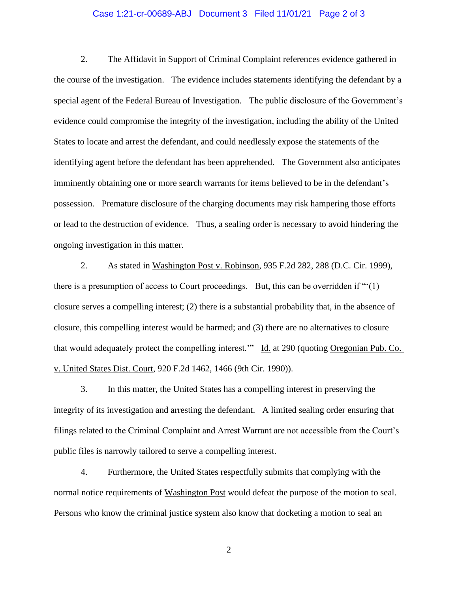#### Case 1:21-cr-00689-ABJ Document 3 Filed 11/01/21 Page 2 of 3

2. The Affidavit in Support of Criminal Complaint references evidence gathered in the course of the investigation. The evidence includes statements identifying the defendant by a special agent of the Federal Bureau of Investigation. The public disclosure of the Government's evidence could compromise the integrity of the investigation, including the ability of the United States to locate and arrest the defendant, and could needlessly expose the statements of the identifying agent before the defendant has been apprehended. The Government also anticipates imminently obtaining one or more search warrants for items believed to be in the defendant's possession. Premature disclosure of the charging documents may risk hampering those efforts or lead to the destruction of evidence. Thus, a sealing order is necessary to avoid hindering the ongoing investigation in this matter.

2. As stated in Washington Post v. Robinson, 935 F.2d 282, 288 (D.C. Cir. 1999), there is a presumption of access to Court proceedings. But, this can be overridden if  $\cdot\cdot\cdot(1)$ closure serves a compelling interest; (2) there is a substantial probability that, in the absence of closure, this compelling interest would be harmed; and (3) there are no alternatives to closure that would adequately protect the compelling interest.'" Id. at 290 (quoting Oregonian Pub. Co. v. United States Dist. Court, 920 F.2d 1462, 1466 (9th Cir. 1990)).

3. In this matter, the United States has a compelling interest in preserving the integrity of its investigation and arresting the defendant. A limited sealing order ensuring that filings related to the Criminal Complaint and Arrest Warrant are not accessible from the Court's public files is narrowly tailored to serve a compelling interest.

4. Furthermore, the United States respectfully submits that complying with the normal notice requirements of Washington Post would defeat the purpose of the motion to seal. Persons who know the criminal justice system also know that docketing a motion to seal an

2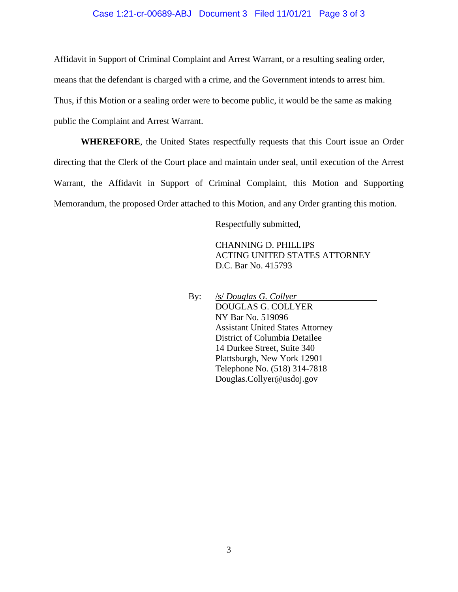#### Case 1:21-cr-00689-ABJ Document 3 Filed 11/01/21 Page 3 of 3

Affidavit in Support of Criminal Complaint and Arrest Warrant, or a resulting sealing order,

means that the defendant is charged with a crime, and the Government intends to arrest him.

Thus, if this Motion or a sealing order were to become public, it would be the same as making

public the Complaint and Arrest Warrant.

**WHEREFORE**, the United States respectfully requests that this Court issue an Order directing that the Clerk of the Court place and maintain under seal, until execution of the Arrest Warrant, the Affidavit in Support of Criminal Complaint, this Motion and Supporting Memorandum, the proposed Order attached to this Motion, and any Order granting this motion.

Respectfully submitted,

CHANNING D. PHILLIPS ACTING UNITED STATES ATTORNEY D.C. Bar No. 415793

By: /s/ *Douglas G. Collyer* DOUGLAS G. COLLYER NY Bar No. 519096 Assistant United States Attorney District of Columbia Detailee 14 Durkee Street, Suite 340 Plattsburgh, New York 12901 Telephone No. (518) 314-7818 Douglas.Collyer@usdoj.gov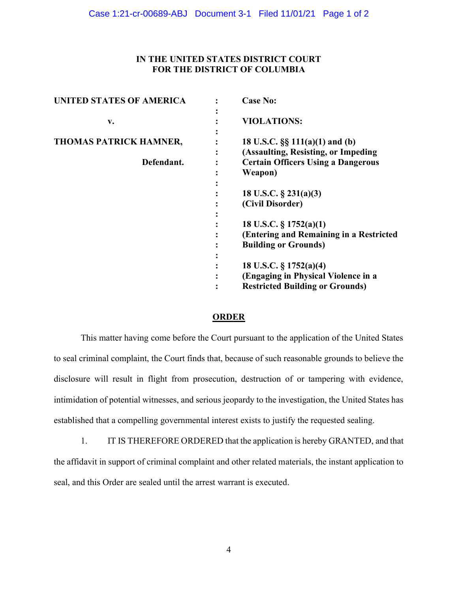# IN THE UNITED STATES DISTRICT COURT FOR THE DISTRICT OF COLUMBIA

| <b>UNITED STATES OF AMERICA</b> | <b>Case No:</b>                                                                             |
|---------------------------------|---------------------------------------------------------------------------------------------|
| v.                              | <b>VIOLATIONS:</b>                                                                          |
| <b>THOMAS PATRICK HAMNER,</b>   | 18 U.S.C. $\S\S 111(a)(1)$ and (b)                                                          |
| Defendant.                      | (Assaulting, Resisting, or Impeding<br><b>Certain Officers Using a Dangerous</b><br>Weapon) |
|                                 |                                                                                             |
|                                 | 18 U.S.C. $\S$ 231(a)(3)<br>(Civil Disorder)                                                |
|                                 | 18 U.S.C. $\S 1752(a)(1)$                                                                   |
|                                 | (Entering and Remaining in a Restricted<br><b>Building or Grounds)</b>                      |
|                                 |                                                                                             |
|                                 | 18 U.S.C. § 1752(a)(4)<br>(Engaging in Physical Violence in a                               |
|                                 | <b>Restricted Building or Grounds)</b>                                                      |

# **ORDER**

This matter having come before the Court pursuant to the application of the United States to seal criminal complaint, the Court finds that, because of such reasonable grounds to believe the disclosure will result in flight from prosecution, destruction of or tampering with evidence, intimidation of potential witnesses, and serious jeopardy to the investigation, the United States has established that a compelling governmental interest exists to justify the requested sealing.

1. IT IS THEREFORE ORDERED that the application is hereby GRANTED, and that the affidavit in support of criminal complaint and other related materials, the instant application to seal, and this Order are sealed until the arrest warrant is executed.